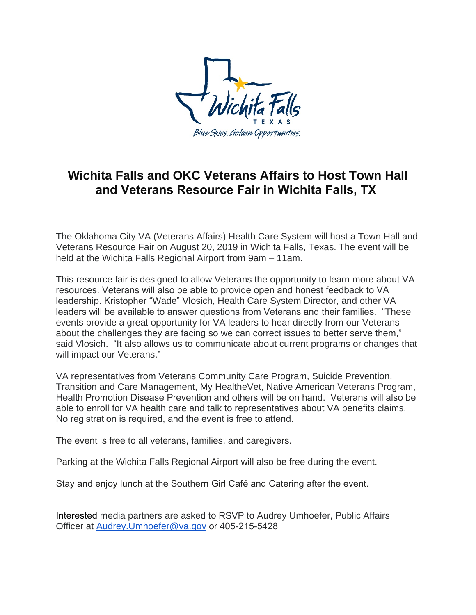

## **Wichita Falls and OKC Veterans Affairs to Host Town Hall and Veterans Resource Fair in Wichita Falls, TX**

The Oklahoma City VA (Veterans Affairs) Health Care System will host a Town Hall and Veterans Resource Fair on August 20, 2019 in Wichita Falls, Texas. The event will be held at the Wichita Falls Regional Airport from 9am – 11am.

This resource fair is designed to allow Veterans the opportunity to learn more about VA resources. Veterans will also be able to provide open and honest feedback to VA leadership. Kristopher "Wade" Vlosich, Health Care System Director, and other VA leaders will be available to answer questions from Veterans and their families. "These events provide a great opportunity for VA leaders to hear directly from our Veterans about the challenges they are facing so we can correct issues to better serve them," said Vlosich. "It also allows us to communicate about current programs or changes that will impact our Veterans."

VA representatives from Veterans Community Care Program, Suicide Prevention, Transition and Care Management, My HealtheVet, Native American Veterans Program, Health Promotion Disease Prevention and others will be on hand. Veterans will also be able to enroll for VA health care and talk to representatives about VA benefits claims. No registration is required, and the event is free to attend.

The event is free to all veterans, families, and caregivers.

Parking at the Wichita Falls Regional Airport will also be free during the event.

Stay and enjoy lunch at the Southern Girl Café and Catering after the event.

Interested media partners are asked to RSVP to Audrey Umhoefer, Public Affairs Officer at [Audrey.Umhoefer@va.gov](mailto:Audrey.Umhoefer@va.gov) or 405-215-5428